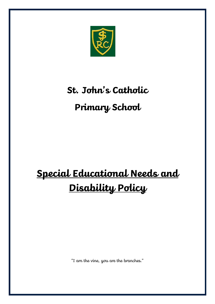

# **St. John's Catholic**

# **Primary School**

# **Special Educational Needs and Disability Policy**

"I am the vine, you are the branches."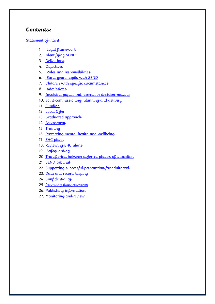#### **Contents:**

#### [Statement of intent](#page-2-0)

- 1. Legal framework
- 2. Identifying SEND
- 3. [Definitions](#page-4-0)
- 4. [Objectives](#page-6-0)
- 5. Roles and responsibilities
- 6. [Early years pupils with SEND](#page-9-0)
- 7. [Children with specific circumstances](#page-10-0)
- 8. [Admissions](#page-11-0)
- 9. [Involving pupils and parents in decision-making](#page-11-1)
- 10. [Joint commissioning, planning and delivery](#page-12-0)
- 11. [Funding](#page-13-0)
- 12. [Local Offer](#page-13-1)
- 13. [Graduated approach](#page-14-0)
- 14. [Assessment](#page-14-1)
- 15. [Training](#page-15-0)
- 16. [Promoting mental health and wellbeing](#page-15-1)
- 17. [EHC plans](#page-16-0)
- 18. [Reviewing EHC plans](#page-17-0)
- 19. [Safeguarding](#page-17-1)
- 20. [Transferring between different phases of education](#page-18-0)
- 21. **[SEND tribunal](#page-19-0)**
- 22. [Supporting successful preparation for adulthood](#page-19-1)
- 23. Data and record keeping
- 24. [Confidentiality](#page-20-0)
- 25. [Resolving disagreements](#page-21-0)
- 26. [Publishing information](#page-21-1)
- 27. [Monitoring and review](#page-21-2)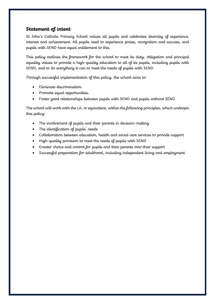#### <span id="page-2-0"></span>**Statement of intent**

St John's Catholic Primary School values all pupils and celebrates diversity of experience, interest and achievement. All pupils need to experience praise, recognition and success, and pupils with SEND have equal entitlement to this.

This policy outlines the framework for the school to meet its duty, obligation and principal equality values to provide a high-quality education to all of its pupils, including pupils with SEND, and to do everything it can to meet the needs of pupils with SEND.

Through successful implementation of this policy, the school aims to:

- Eliminate discrimination.
- Promote equal opportunities.
- Foster good relationships between pupils with SEND and pupils without SEND.

The school will work with the LA, or equivalent, within the following principles, which underpin this policy:

- The involvement of pupils and their parents in decision-making
- The identification of pupils' needs
- Collaboration between education, health and social care services to provide support
- High-quality provision to meet the needs of pupils with SEND
- Greater choice and control for pupils and their parents over their support
- Successful preparation for adulthood, including independent living and employment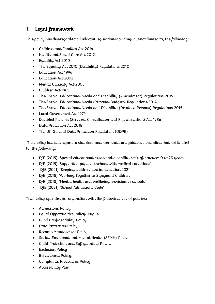# <span id="page-3-0"></span>**1. Legal framework**

This policy has due regard to all relevant legislation including, but not limited to, the following:

- Children and Families Act 2014
- Health and Social Care Act 2012
- Equality Act 2010
- The Equality Act 2010 (Disability) Regulations 2010
- Education Act 1996
- Education Act 2002
- Mental Capacity Act 2005
- Children Act 1989
- The Special Educational Needs and Disability (Amendment) Regulations 2015
- The Special Educational Needs (Personal Budgets) Regulations 2014
- The Special Educational Needs and Disability (Detained Persons) Regulations 2015
- Local Government Act 1974
- Disabled Persons (Services, Consultation and Representation) Act 1986
- Data Protection Act 2018
- The UK General Data Protection Regulation (GDPR)

This policy has due regard to statutory and non-statutory guidance, including, but not limited to, the following:

- DfE (2015) 'Special educational needs and disability code of practice: 0 to 25 years'
- DfE (2015) 'Supporting pupils at school with medical conditions'
- DfE (2021) 'Keeping children safe in education 2021'
- DfE (2018) 'Working Together to Safeguard Children'
- DfE (2018) 'Mental health and wellbeing provision in schools'
- DfE (2021) 'School Admissions Code'

This policy operates in conjunction with the following school policies:

- Admissions Policy
- Equal Opportunities Policy: Pupils
- Pupil Confidentiality Policy
- Data Protection Policy
- Records Management Policy
- Social, Emotional and Mental Health (SEMH) Policy
- Child Protection and Safeguarding Policy
- Exclusion Policy
- Behavioural Policy
- Complaints Procedures Policy
- Accessibility Plan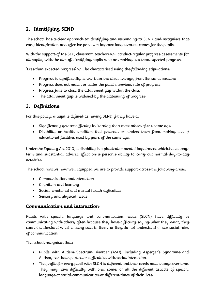# **2. Identifying SEND**

The school has a clear approach to identifying and responding to SEND and recognises that early identification and effective provision improve long-term outcomes for the pupils.

With the support of the SLT, classroom teachers will conduct regular progress assessments for all pupils, with the aim of identifying pupils who are making less than expected progress.

'Less than expected progress' will be characterised using the following stipulations:

- Progress is significantly slower than the class average, from the same baseline
- Progress does not match or better the pupil's previous rate of progress
- Progress fails to close the attainment gap within the class
- The attainment gap is widened by the plateauing of progress

#### <span id="page-4-0"></span>**3. Definitions**

For this policy, a pupil is defined as having SEND if they have  $a$ .

- Significantly greater difficulty in learning than most others of the same age.
- Disability or health condition that prevents or hinders them from making use of educational facilities used by peers of the same age.

Under the Equality Act 2010, a disability is a physical or mental impairment which has a longterm and substantial adverse effect on a person's ability to carry out normal day-to-day activities.

The school reviews how well equipped we are to provide support across the following areas:

- Communication and interaction
- Cognition and learning
- Social, emotional and mental health difficulties
- Sensory and physical needs

#### **Communication and interaction**

Pupils with speech, language and communication needs (SLCN) have difficulty in communicating with others, often because they have difficulty saying what they want, they cannot understand what is being said to them, or they do not understand or use social rules of communication.

The school recognises that:

- Pupils with Autism Spectrum Disorder (ASD), including Asperger's Syndrome and Autism, can have particular difficulties with social interaction.
- The profile for every pupil with SLCN is different and their needs may change over time. They may have difficulty with one, some, or all the different aspects of speech, language or social communication at different times of their lives.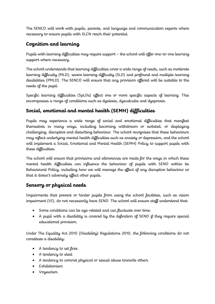The SENCO will work with pupils, parents, and language and communication experts where necessary to ensure pupils with SLCN reach their potential.

# **Cognition and learning**

Pupils with learning difficulties may require support – the school will offer one-to-one learning support where necessary.

The school understands that learning difficulties cover a wide range of needs, such as moderate learning difficulty (MLD), severe learning difficulty (SLD) and profound and multiple learning disabilities (PMLD). The SENCO will ensure that any provision offered will be suitable to the needs of the pupil.

Specific learning difficulties (SpLDs) affect one or more specific aspects of learning. This encompasses a range of conditions such as dyslexia, dyscalculia and dyspraxia.

# **Social, emotional and mental health (SEMH) difficulties**

Pupils may experience a wide range of social and emotional difficulties that manifest themselves in many ways, including becoming withdrawn or isolated, or displaying challenging, disruptive and disturbing behaviour. The school recognises that these behaviours may reflect underlying mental health difficulties such as anxiety or depression, and the school will implement a Social, Emotional and Mental Health (SEMH) Policy to support pupils with these difficulties.

The school will ensure that provisions and allowances are made for the ways in which these mental health difficulties can influence the behaviour of pupils with SEND within its Behavioural Policy, including how we will manage the effect of any disruptive behaviour so that it doesn't adversely affect other pupils.

# **Sensory or physical needs**

Impairments that prevent or hinder pupils from using the school facilities, such as vision impairment (VI), do not necessarily have SEND. The school will ensure staff understand that:

- Some conditions can be age-related and can fluctuate over time.
- A pupil with a disability is covered by the definition of SEND if they require special educational provision.

Under The Equality Act 2010 (Disability) Regulations 2010, the following conditions do not constitute a disability:

- A tendency to set fires
- A tendency to steal
- A tendency to commit physical or sexual abuse towards others
- Exhibitionism
- Voyeurism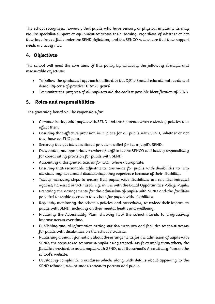The school recognises, however, that pupils who have sensory or physical impairments may require specialist support or equipment to access their learning, regardless of whether or not their impairment falls under the SEND definition, and the SENCO will ensure that their support needs are being met.

# <span id="page-6-0"></span>**4. Objectives**

The school will meet the core aims of this policy by achieving the following strategic and measurable objectives:

- To follow the graduated approach outlined in the DfE's 'Special educational needs and disability code of practice: 0 to 25 years'
- To monitor the progress of all pupils to aid the earliest possible identification of SEND

## <span id="page-6-1"></span>**5. Roles and responsibilities**

The governing board will be responsible for:

- Communicating with pupils with SEND and their parents when reviewing policies that affect them.
- Ensuring that effective provision is in place for all pupils with SEND, whether or not they have an EHC plan.
- Securing the special educational provision called for by a pupil's SEND.
- Designating an appropriate member of staff to be the SENCO and having responsibility for coordinating provision for pupils with SEND.
- Appointing a designated teacher for LAC, where appropriate.
- Ensuring that reasonable adjustments are made for pupils with disabilities to help alleviate any substantial disadvantage they experience because of their disability.
- Taking necessary steps to ensure that pupils with disabilities are not discriminated against, harassed or victimised, e.g. in line with the Equal Opportunities Policy: Pupils.
- Preparing the arrangements for the admission of pupils with SEND and the facilities provided to enable access to the school for pupils with disabilities.
- Regularly monitoring the school's policies and procedures, to review their impact on pupils with SEND, including on their mental health and wellbeing.
- Preparing the Accessibility Plan, showing how the school intends to progressively improve access over time.
- Publishing annual information setting out the measures and facilities to assist access for pupils with disabilities on the school's website.
- Publishing annual information about the arrangements for the admission of pupils with SEND, the steps taken to prevent pupils being treated less favourably than others, the facilities provided to assist pupils with SEND, and the school's Accessibility Plan on the school's website.
- Developing complaints procedures which, along with details about appealing to the SEND tribunal, will be made known to parents and pupils.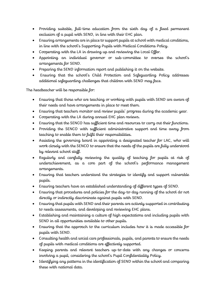- Providing suitable, full-time education from the sixth day of a fixed permanent exclusion of a pupil with SEND, in line with their EHC plan.
- Ensuring arrangements are in place to support pupils at school with medical conditions, in line with the school's Supporting Pupils with Medical Conditions Policy.
- Cooperating with the LA in drawing up and reviewing the Local Offer.
- Appointing an individual governor or sub-committee to oversee the school's arrangements for SEND.
- Preparing the SEND information report and publishing it on the website.
- Ensuring that the school's Child Protection and Safeguarding Policy addresses additional safeguarding challenges that children with SEND may face.

The headteacher will be responsible for:

- Ensuring that those who are teaching or working with pupils with SEND are aware of their needs and have arrangements in place to meet them.
- Ensuring that teachers monitor and review pupils' progress during the academic year.
- Cooperating with the LA during annual EHC plan reviews.
- Ensuring that the SENCO has sufficient time and resources to carry out their functions.
- Providing the SENCO with sufficient administrative support and time away from teaching to enable them to fulfil their responsibilities.
- Assisting the governing board in appointing a designated teacher for LAC, who will work closely with the SENCO to ensure that the needs of the pupils are fully understood by relevant school staff.
- Regularly and carefully reviewing the quality of teaching for pupils at risk of underachievement, as a core part of the school's performance management arrangements.
- Ensuring that teachers understand the strategies to identify and support vulnerable pupils.
- Ensuring teachers have an established understanding of different types of SEND.
- Ensuring that procedures and policies for the day-to-day running of the school do not directly or indirectly discriminate against pupils with SEND.
- Ensuring that pupils with SEND and their parents are actively supported in contributing to needs assessments, and developing and reviewing EHC plans.
- Establishing and maintaining a culture of high expectations and including pupils with SEND in all opportunities available to other pupils.
- Ensuring that the approach to the curriculum includes how it is made accessible for pupils with SEND.
- Consulting health and social care professionals, pupils, and parents to ensure the needs of pupils with medical conditions are effectively supported.
- Keeping parents and relevant teachers up-to-date with any changes or concerns involving a pupil, considering the school's Pupil Confidentiality Policy.
- Identifying any patterns in the identification of SEND within the school and comparing these with national data.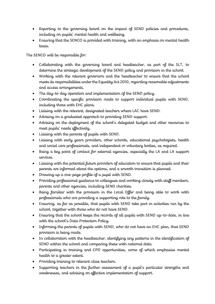- Reporting to the governing board on the impact of SEND policies and procedures, including on pupils' mental health and wellbeing.
- Ensuring that the SENCO is provided with training, with an emphasis on mental health basis.

The SENCO will be responsible for:

- Collaborating with the governing board and headteacher, as part of the SLT, to determine the strategic development of the SEND policy and provision in the school.
- Working with the relevant governors and the headteacher to ensure that the school meets its responsibilities under the Equality Act 2010, regarding reasonable adjustments and access arrangements.
- The day-to-day operation and implementation of the SEND policy.
- Coordinating the specific provision made to support individual pupils with SEND, including those with EHC plans.
- Liaising with the relevant, designated teachers where LAC have SEND.
- Advising on a graduated approach to providing SEND support.
- Advising on the deployment of the school's delegated budget and other resources to meet pupils' needs effectively.
- Liaising with the parents of pupils with SEND.
- Liaising with early years providers, other schools, educational psychologists, health and social care professionals, and independent or voluntary bodies, as required.
- Being a key point of contact for external agencies, especially the LA and LA support services.
- Liaising with the potential future providers of education to ensure that pupils and their parents are informed about the options, and a smooth transition is planned.
- Drawing up a one-page profile of a pupil with SEND.
- Providing professional guidance to colleagues and working closely with staff members, parents and other agencies, including SEND charities.
- Being familiar with the provision in the Local Offer and being able to work with professionals who are providing a supporting role to the family.
- Ensuring, as far as possible, that pupils with SEND take part in activities run by the school, together with those who do not have SEND.
- Ensuring that the school keeps the records of all pupils with SEND up-to-date, in line with the school's Data Protection Policy.
- Informing the parents of pupils with SEND, who do not have an EHC plan, that SEND provision is being made.
- In collaboration with the headteacher, identifying any patterns in the identification of SEND within the school and comparing these with national data.
- Participating in training and CPD opportunities, some of which emphasise mental health to a greater extent.
- Providing training to relevant class teachers.
- Supporting teachers in the further assessment of a pupil's particular strengths and weaknesses, and advising on effective implementation of support.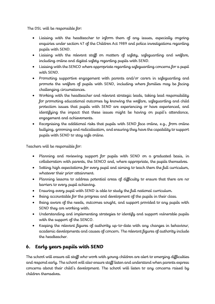The DSL will be responsible for:

- Liaising with the headteacher to inform them of any issues, especially ongoing enquiries under section 47 of the Children Act 1989 and police investigations regarding pupils with SEND.
- Liaising with the relevant staff on matters of safety, safeguarding and welfare, including online and digital safety regarding pupils with SEND.
- Liaising with the SENCO where appropriate regarding safeguarding concerns for a pupil with SEND.
- Promoting supportive engagement with parents and/or carers in safeguarding and promote the welfare of pupils with SEND, including where families may be facing challenging circumstances.
- Working with the headteacher and relevant strategic leads, taking lead responsibility for promoting educational outcomes by knowing the welfare, safeguarding and child protection issues that pupils with SEND are experiencing or have experienced, and identifying the impact that these issues might be having on pupil's attendance, engagement and achievements.
- Recognising the additional risks that pupils with SEND face online, e.g., from online bullying, grooming and radicalisation, and ensuring they have the capability to support pupils with SEND to stay safe online.

Teachers will be responsible for:

- Planning and reviewing support for pupils with SEND on a graduated basis, in collaboration with parents, the SENCO and, where appropriate, the pupils themselves.
- Setting high expectations for every pupil and aiming to teach them the full curriculum, whatever their prior attainment.
- Planning lessons to address potential areas of difficulty to ensure that there are no barriers to every pupil achieving.
- Ensuring every pupil with SEND is able to study the full national curriculum.
- Being accountable for the progress and development of the pupils in their class.
- Being aware of the needs, outcomes sought, and support provided to any pupils with SEND they are working with.
- Understanding and implementing strategies to identify and support vulnerable pupils with the support of the SENCO.
- Keeping the relevant figures of authority up-to-date with any changes in behaviour, academic developments and causes of concern. The relevant figures of authority include the headteacher.

# <span id="page-9-0"></span>**6. Early years pupils with SEND**

The school will ensure all staff who work with young children are alert to emerging difficulties and respond early. The school will also ensure staff listen and understand when parents express concerns about their child's development. The school will listen to any concerns raised by children themselves.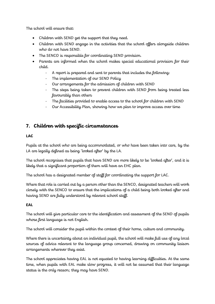The school will ensure that:

- Children with SEND get the support that they need.
- Children with SEND engage in the activities that the school offers alongside children who do not have SEND.
- The SENCO is responsible for coordinating SEND provision.
- Parents are informed when the school makes special educational provision for their child.
	- A report is prepared and sent to parents that includes the following:
	- The implementation of our SEND Policy
	- Our arrangements for the admission of children with SEND
	- The steps being taken to prevent children with SEND from being treated less favourably than others
	- The facilities provided to enable access to the school for children with SEND
	- Our Accessibility Plan, showing how we plan to improve access over time

# <span id="page-10-0"></span>**7. Children with specific circumstances**

#### **LAC**

Pupils at the school who are being accommodated, or who have been taken into care, by the LA are legally defined as being 'looked after' by the LA.

The school recognises that pupils that have SEND are more likely to be 'looked after', and it is likely that a significant proportion of them will have an EHC plan.

The school has a designated member of staff for coordinating the support for LAC.

Where that role is carried out by a person other than the SENCO, designated teachers will work closely with the SENCO to ensure that the implications of a child being both looked after and having SEND are fully understood by relevant school staff.

#### **EAL**

The school will give particular care to the identification and assessment of the SEND of pupils whose first language is not English.

The school will consider the pupil within the context of their home, culture and community.

Where there is uncertainty about an individual pupil, the school will make full use of any local sources of advice relevant to the language group concerned, drawing on community liaison arrangements wherever they exist.

The school appreciates having EAL is not equated to having learning difficulties. At the same time, when pupils with EAL make slow progress, it will not be assumed that their language status is the only reason; they may have SEND.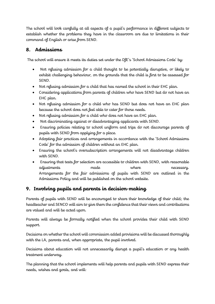The school will look carefully at all aspects of a pupil's performance in different subjects to establish whether the problems they have in the classroom are due to limitations in their command of English or arise from SEND.

# <span id="page-11-0"></span>**8. Admissions**

The school will ensure it meets its duties set under the DfE's 'School Admissions Code' by:

- Not refusing admission for a child thought to be potentially disruptive, or likely to exhibit challenging behaviour, on the grounds that the child is first to be assessed for SEND.
- Not refusing admission for a child that has named the school in their EHC plan.
- Considering applications from parents of children who have SEND but do not have an EHC plan.
- Not refusing admission for a child who has SEND but does not have an EHC plan because the school does not feel able to cater for those needs.
- Not refusing admission for a child who does not have an EHC plan.
- Not discriminating against or disadvantaging applicants with SEND.
- Ensuring policies relating to school uniform and trips do not discourage parents of pupils with SEND from applying for a place.
- Adopting fair practices and arrangements in accordance with the 'School Admissions Code' for the admission of children without an EHC plan.
- Ensuring the school's oversubscription arrangements will not disadvantage children with SEND.
- Ensuring that tests for selection are accessible to children with SEND, with reasonable adjustments made where necessary. Arrangements for the fair admissions of pupils with SEND are outlined in the Admissions Policy and will be published on the school website.

# <span id="page-11-1"></span>**9. Involving pupils and parents in decision-making**

Parents of pupils with SEND will be encouraged to share their knowledge of their child; the headteacher and SENCO will aim to give them the confidence that their views and contributions are valued and will be acted upon.

Parents will always be formally notified when the school provides their child with SEND support.

Decisions on whether the school will commission added provisions will be discussed thoroughly with the LA, parents and, when appropriate, the pupil involved.

Decisions about education will not unnecessarily disrupt a pupil's education or any health treatment underway.

The planning that the school implements will help parents and pupils with SEND express their needs, wishes and goals, and will: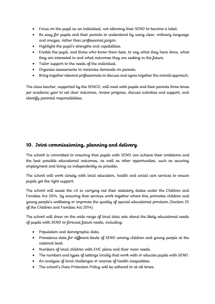- Focus on the pupil as an individual, not allowing their SEND to become a label.
- Be easy for pupils and their parents to understand by using clear, ordinary language and images, rather than professional jargon.
- Highlight the pupil's strengths and capabilities.
- Enable the pupil, and those who know them best, to say what they have done, what they are interested in and what outcomes they are seeking in the future.
- Tailor support to the needs of the individual.
- Organise assessments to minimise demands on parents.
- Bring together relevant professionals to discuss and agree together the overall approach.

The class teacher, supported by the SENCO, will meet with pupils and their parents three times per academic year to set clear outcomes, review progress, discuss activities and support, and identify parental responsibilities.

## <span id="page-12-0"></span>**10. Joint commissioning, planning and delivery**

The school is committed to ensuring that pupils with SEND can achieve their ambitions and the best possible educational outcomes, as well as other opportunities, such as securing employment and living as independently as possible.

The school will work closely with local education, health and social care services to ensure pupils get the right support.

The school will assist the LA in carrying out their statutory duties under the Children and Families Act 2014, by ensuring that services work together where this promotes children and young people's wellbeing or improves the quality of special educational provision (Section 25 of the Children and Families Act 2014).

The school will draw on the wide range of local data sets about the likely educational needs of pupils with SEND to forecast future needs, including:

- Population and demographic data.
- Prevalence data for different kinds of SEND among children and young people at the national level.
- Numbers of local children with EHC plans and their main needs.
- The numbers and types of settings locally that work with or educate pupils with SEND.
- An analysis of local challenges or sources of health inequalities.
- The school's Data Protection Policy will be adhered to at all times.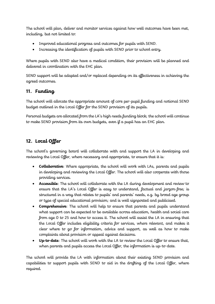The school will plan, deliver and monitor services against how well outcomes have been met, including, but not limited to:

- Improved educational progress and outcomes for pupils with SEND.
- Increasing the identification of pupils with SEND prior to school entry.

Where pupils with SEND also have a medical condition, their provision will be planned and delivered in coordination with the EHC plan.

SEND support will be adapted and/or replaced depending on its effectiveness in achieving the agreed outcomes.

# <span id="page-13-0"></span>**11. Funding**

The school will allocate the appropriate amount of core per-pupil funding and notional SEND budget outlined in the Local Offer for the SEND provision of its pupils.

Personal budgets are allocated from the LA's high needs funding block; the school will continue to make SEND provision from its own budgets, even if a pupil has an EHC plan.

# <span id="page-13-1"></span>**12. Local Offer**

The school's governing board will collaborate with and support the LA in developing and reviewing the Local Offer, where necessary and appropriate, to ensure that it is:

- **Collaborative**: Where appropriate, the school will work with LAs, parents and pupils in developing and reviewing the Local Offer. The school will also cooperate with those providing services.
- **Accessible**: The school will collaborate with the LA during development and review to ensure that the LA's Local Offer is easy to understand, factual and jargon-free; is structured in a way that relates to pupils' and parents' needs, e.g. by broad age group or type of special educational provision; and is well signposted and publicised.
- **Comprehensive**: The school will help to ensure that parents and pupils understand what support can be expected to be available across education, health and social care from age 0 to 25 and how to access it. The school will assist the LA in ensuring that the Local Offer includes eligibility criteria for services, where relevant, and makes it clear where to go for information, advice and support, as well as how to make complaints about provision or appeal against decisions.
- **Up-to-date**: The school will work with the LA to review the Local Offer to ensure that, when parents and pupils access the Local Offer, the information is up-to-date.

The school will provide the LA with information about their existing SEND provision and capabilities to support pupils with SEND to aid in the drafting of the Local Offer, where required.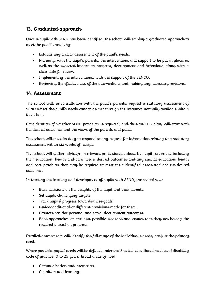# <span id="page-14-0"></span>**13. Graduated approach**

Once a pupil with SEND has been identified, the school will employ a graduated approach to meet the pupil's needs by:

- Establishing a clear assessment of the pupil's needs.
- Planning, with the pupil's parents, the interventions and support to be put in place, as well as the expected impact on progress, development and behaviour, along with a clear date for review.
- Implementing the interventions, with the support of the SENCO.
- Reviewing the effectiveness of the interventions and making any necessary revisions.

#### <span id="page-14-1"></span>**14. Assessment**

The school will, in consultation with the pupil's parents, request a statutory assessment of SEND where the pupil's needs cannot be met through the resources normally available within the school.

Consideration of whether SEND provision is required, and thus an EHC plan, will start with the desired outcomes and the views of the parents and pupil.

The school will meet its duty to respond to any request for information relating to a statutory assessment within six weeks of receipt.

The school will gather advice from relevant professionals about the pupil concerned, including their education, health and care needs, desired outcomes and any special education, health and care provision that may be required to meet their identified needs and achieve desired outcomes.

In tracking the learning and development of pupils with SEND, the school will:

- Base decisions on the insights of the pupil and their parents.
- Set pupils challenging targets.
- Track pupils' progress towards these goals.
- Review additional or different provisions made for them.
- Promote positive personal and social development outcomes.
- Base approaches on the best possible evidence and ensure that they are having the required impact on progress.

Detailed assessments will identify the full range of the individual's needs, not just the primary need.

Where possible, pupils' needs will be defined under the 'Special educational needs and disability code of practice: 0 to 25 years' broad areas of need:

- Communication and interaction.
- Cognition and learning.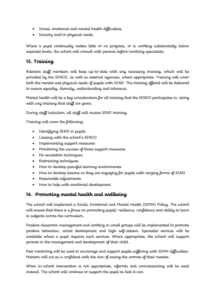- Social, emotional and mental health difficulties.
- Sensory and/or physical needs.

Where a pupil continually makes little or no progress, or is working substantially below expected levels, the school will consult with parents before involving specialists.

#### <span id="page-15-0"></span>**15. Training**

Relevant staff members will keep up-to-date with any necessary training, which will be provided by the SENCO, as well as external agencies, where appropriate. Training will cover both the mental and physical needs of pupils with SEND. The training offered will be delivered to ensure equality, diversity, understanding and tolerance.

Mental health will be a key consideration for all training that the SENCO participates in, along with any training that staff are given.

During staff induction, all staff will receive SEND training.

Training will cover the following:

- Identifying SEND in pupils
- Liaising with the school's SENCO
- Implementing support measures
- Monitoring the success of those support measures
- De-escalation techniques
- Restraining techniques
- How to develop peaceful learning environments
- How to develop lessons so they are engaging for pupils with varying forms of SEND
- Reasonable adjustments
- How to help with emotional development

# <span id="page-15-1"></span>**16. Promoting mental health and wellbeing**

The school will implement a Social, Emotional and Mental Health (SEMH) Policy. The school will ensure that there is a focus on promoting pupils' resilience, confidence and ability to learn in subjects across the curriculum.

Positive classroom management and working in small groups will be implemented to promote positive behaviour, social development and high self-esteem. Specialist services will be available where a pupil requires such services. Where appropriate, the school will support parents in the management and development of their child.

Peer mentoring will be used to encourage and support pupils suffering with SEMH difficulties. Mentors will act as a confidant with the aim of easing the worries of their mentee.

When in-school intervention is not appropriate, referrals and commissioning will be used instead. The school will continue to support the pupil as best it can.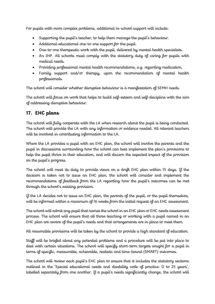For pupils with more complex problems, additional in-school support will include:

- Supporting the pupil's teacher, to help them manage the pupil's behaviour.
- Additional educational one-to-one support for the pupil.
- One-to-one therapeutic work with the pupil, delivered by mental health specialists.
- An IHP. All schools must comply with the statutory duty of caring for pupils with medical needs.
- Providing professional mental health recommendations, e.g. regarding medication.
- Family support and/or therapy, upon the recommendation of mental health professionals.

The school will consider whether disruptive behaviour is a manifestation of SEMH needs.

The school will focus on work that helps to build self-esteem and self-discipline with the aim of addressing disruptive behaviour.

#### <span id="page-16-0"></span>**17. EHC plans**

The school will fully cooperate with the LA when research about the pupil is being conducted. The school will provide the LA with any information or evidence needed. All relevant teachers will be involved in contributing information to the LA.

Where the LA provides a pupil with an EHC plan, the school will involve the parents and the pupil in discussions surrounding how the school can best implement the plan's provisions to help the pupil thrive in their education, and will discern the expected impact of the provision on the pupil's progress.

The school will meet its duty to provide views on a draft EHC plan within 15 days. If the decision is taken not to issue an EHC plan, the school will consider and implement the recommendations of feedback from the LA regarding how the pupil's outcomes can be met through the school's existing provision.

If the LA decides not to issue an EHC plan, the parents of the pupil, or the pupil themselves, will be informed within a maximum of 16 weeks from the initial request of an EHC assessment.

The school will admit any pupil that names the school in an EHC plan or EHC needs assessment process. The school will ensure that all those teaching or working with a pupil named in an EHC plan are aware of the pupil's needs and that arrangements are in place to meet them.

All reasonable provisions will be taken by the school to provide a high standard of education.

Staff will be briefed about any potential problems and a procedure will be put into place to deal with certain situations. The school will specify short-term targets sought for a pupil in terms of specific, measurable, achievable, realistic and time-bound (SMART) outcomes.

The school will review each pupil's EHC plan to ensure that it includes the statutory sections outlined in the 'Special educational needs and disability code of practice: 0 to 25 years', labelled separately from one another. If a pupil's needs significantly change, the school will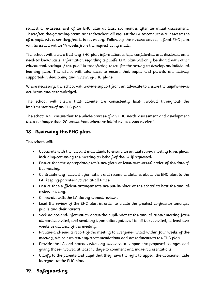request a re-assessment of an EHC plan at least six months after an initial assessment. Thereafter, the governing board or headteacher will request the LA to conduct a re-assessment of a pupil whenever they feel it is necessary. Following the re-assessment, a final EHC plan will be issued within 14 weeks from the request being made.

The school will ensure that any EHC plan information is kept confidential and disclosed on a need-to-know basis. Information regarding a pupil's EHC plan will only be shared with other educational settings if the pupil is transferring there, for the setting to develop an individual learning plan. The school will take steps to ensure that pupils and parents are actively supported in developing and reviewing EHC plans.

Where necessary, the school will provide support from an advocate to ensure the pupil's views are heard and acknowledged.

The school will ensure that parents are consistently kept involved throughout the implementation of an EHC plan.

The school will ensure that the whole process of an EHC needs assessment and development takes no longer than 20 weeks from when the initial request was received.

# <span id="page-17-0"></span>**18. Reviewing the EHC plan**

The school will:

- Cooperate with the relevant individuals to ensure an annual review meeting takes place, including convening the meeting on behalf of the LA if requested.
- Ensure that the appropriate people are given at least two weeks' notice of the date of the meeting.
- Contribute any relevant information and recommendations about the EHC plan to the LA, keeping parents involved at all times.
- Ensure that sufficient arrangements are put in place at the school to host the annual review meeting.
- Cooperate with the LA during annual reviews.
- Lead the review of the EHC plan in order to create the greatest confidence amongst pupils and their parents.
- Seek advice and information about the pupil prior to the annual review meeting from all parties invited, and send any information gathered to all those invited, at least two weeks in advance of the meeting.
- Prepare and send a report of the meeting to everyone invited within four weeks of the meeting, which sets out any recommendations and amendments to the EHC plan.
- Provide the LA and parents with any evidence to support the proposed changes and giving those involved at least 15 days to comment and make representations.
- Clarify to the parents and pupil that they have the right to appeal the decisions made in regard to the EHC plan.

# <span id="page-17-1"></span>**19. Safeguarding**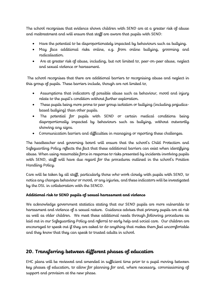The school recognises that evidence shows children with SEND are at a greater risk of abuse and maltreatment and will ensure that staff are aware that pupils with SEND:

- Have the potential to be disproportionately impacted by behaviours such as bullying.
- May face additional risks online, e.g. from online bullying, grooming and radicalisation.
- Are at greater risk of abuse, including, but not limited to, peer-on-peer abuse, neglect and sexual violence or harassment.

The school recognises that there are additional barriers to recognising abuse and neglect in this group of pupils. These barriers include, though are not limited to,

- Assumptions that indicators of possible abuse such as behaviour, mood and injury relate to the pupil's condition without further exploration.
- These pupils being more prone to peer group isolation or bullying (including prejudicebased bullying) than other pupils.
- The potential for pupils with SEND or certain medical conditions being disproportionally impacted by behaviours such as bullying, without outwardly showing any signs.
- Communication barriers and difficulties in managing or reporting these challenges.

The headteacher and governing board will ensure that the school's Child Protection and Safeguarding Policy reflects the fact that these additional barriers can exist when identifying abuse. When using reasonable force in response to risks presented by incidents involving pupils with SEND, staff will have due regard for the procedures outlined in the school's Positive Handling Policy.

Care will be taken by all staff, particularly those who work closely with pupils with SEND, to notice any changes behaviour or mood, or any injuries, and these indicators will be investigated by the DSL in collaboration with the SENCO.

#### **Additional risk to SEND pupils of sexual harassment and violence**

We acknowledge government statistics stating that our SEND pupils are more vulnerable to harassment and violence of a sexual nature. Guidance advises that primary pupils are at risk as well as older children. We meet these additional needs through following procedures as laid out in our Safeguarding Policy and referral to early help and social care. Our children are encouraged to speak out if they are asked to do anything that makes them feel uncomfortable and they know that they can speak to trusted adults in school.

# <span id="page-18-0"></span>**20. Transferring between different phases of education**

EHC plans will be reviewed and amended in sufficient time prior to a pupil moving between key phases of education, to allow for planning for and, where necessary, commissioning of support and provision at the new phase.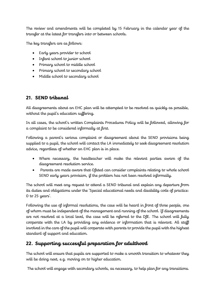The review and amendments will be completed by 15 February in the calendar year of the transfer at the latest for transfers into or between schools.

The key transfers are as follows:

- Early years provider to school
- Infant school to junior school
- Primary school to middle school
- Primary school to secondary school
- Middle school to secondary school

# <span id="page-19-0"></span>**21. SEND tribunal**

All disagreements about an EHC plan will be attempted to be resolved as quickly as possible, without the pupil's education suffering.

In all cases, the school's written Complaints Procedures Policy will be followed, allowing for a complaint to be considered informally at first.

Following a parent's serious complaint or disagreement about the SEND provisions being supplied to a pupil, the school will contact the LA immediately to seek disagreement resolution advice, regardless of whether an EHC plan is in place.

- Where necessary, the headteacher will make the relevant parties aware of the disagreement resolution service.
- Parents are made aware that Ofsted can consider complaints relating to whole school SEND early years provision, if the problem has not been resolved informally.

The school will meet any request to attend a SEND tribunal and explain any departure from its duties and obligations under the 'Special educational needs and disability code of practice: 0 to 25 years'.

Following the use of informal resolutions, the case will be heard in front of three people, one of whom must be independent of the management and running of the school. If disagreements are not resolved at a local level, the case will be referred to the DfE. The school will fully cooperate with the LA by providing any evidence or information that is relevant. All staff involved in the care of the pupil will cooperate with parents to provide the pupil with the highest standard of support and education.

# <span id="page-19-1"></span>**22. Supporting successful preparation for adulthood**

The school will ensure that pupils are supported to make a smooth transition to whatever they will be doing next, e.g. moving on to higher education.

The school will engage with secondary schools, as necessary, to help plan for any transitions.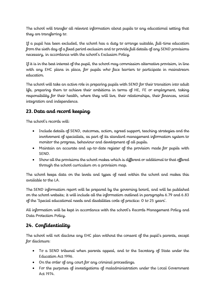The school will transfer all relevant information about pupils to any educational setting that they are transferring to.

If a pupil has been excluded, the school has a duty to arrange suitable, full-time education from the sixth day of a fixed period exclusion and to provide full details of any SEND provisions necessary, in accordance with the school's Exclusion Policy.

If it is in the best interest of the pupil, the school may commission alternative provision, in line with any EHC plans in place, for pupils who face barriers to participate in mainstream education.

The school will take an active role in preparing pupils with SEND for their transition into adult life, preparing them to achieve their ambitions in terms of HE, FE or employment, taking responsibility for their health, where they will live, their relationships, their finances, social integration and independence.

# **23. Data and record keeping**

The school's records will:

- Include details of SEND, outcomes, action, agreed support, teaching strategies and the involvement of specialists, as part of its standard management information system to monitor the progress, behaviour and development of all pupils.
- Maintain an accurate and up-to-date register of the provision made for pupils with SEND.
- Show all the provisions the school makes which is different or additional to that offered through the school curriculum on a provision map.

The school keeps data on the levels and types of need within the school and makes this available to the LA.

The SEND information report will be prepared by the governing board, and will be published on the school website; it will include all the information outlined in paragraphs 6.79 and 6.83 of the 'Special educational needs and disabilities code of practice: 0 to 25 years'.

All information will be kept in accordance with the school's Records Management Policy and Data Protection Policy.

# <span id="page-20-0"></span>**24. Confidentiality**

The school will not disclose any EHC plan without the consent of the pupil's parents, except for disclosure:

- To a SEND tribunal when parents appeal, and to the Secretary of State under the Education Act 1996.
- On the order of any court for any criminal proceedings.
- For the purposes of investigations of maladministration under the Local Government Act 1974.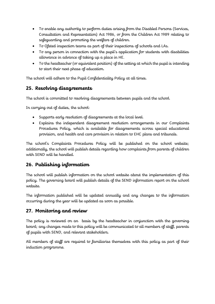- To enable any authority to perform duties arising from the Disabled Persons (Services, Consultation and Representation) Act 1986, or from the Children Act 1989 relating to safeguarding and promoting the welfare of children.
- To Ofsted inspection teams as part of their inspections of schools and LAs.
- To any person in connection with the pupil's application for students with disabilities allowance in advance of taking up a place in HE.
- To the headteacher (or equivalent position) of the setting at which the pupil is intending to start their next phase of education.

The school will adhere to the Pupil Confidentiality Policy at all times.

## <span id="page-21-0"></span>**25. Resolving disagreements**

The school is committed to resolving disagreements between pupils and the school.

In carrying out of duties, the school:

- Supports early resolution of disagreements at the local level.
- Explains the independent disagreement resolution arrangements in our Complaints Procedures Policy, which is available for disagreements across special educational provision, and health and care provision in relation to EHC plans and tribunals.

The school's Complaints Procedures Policy will be published on the school website; additionally, the school will publish details regarding how complaints from parents of children with SEND will be handled.

# <span id="page-21-1"></span>**26. Publishing information**

The school will publish information on the school website about the implementation of this policy. The governing board will publish details of the SEND information report on the school website.

The information published will be updated annually and any changes to the information occurring during the year will be updated as soon as possible.

#### <span id="page-21-2"></span>**27. Monitoring and review**

The policy is reviewed on an basis by the headteacher in conjunction with the governing board; any changes made to this policy will be communicated to all members of staff, parents of pupils with SEND, and relevant stakeholders.

All members of staff are required to familiarise themselves with this policy as part of their induction programme.